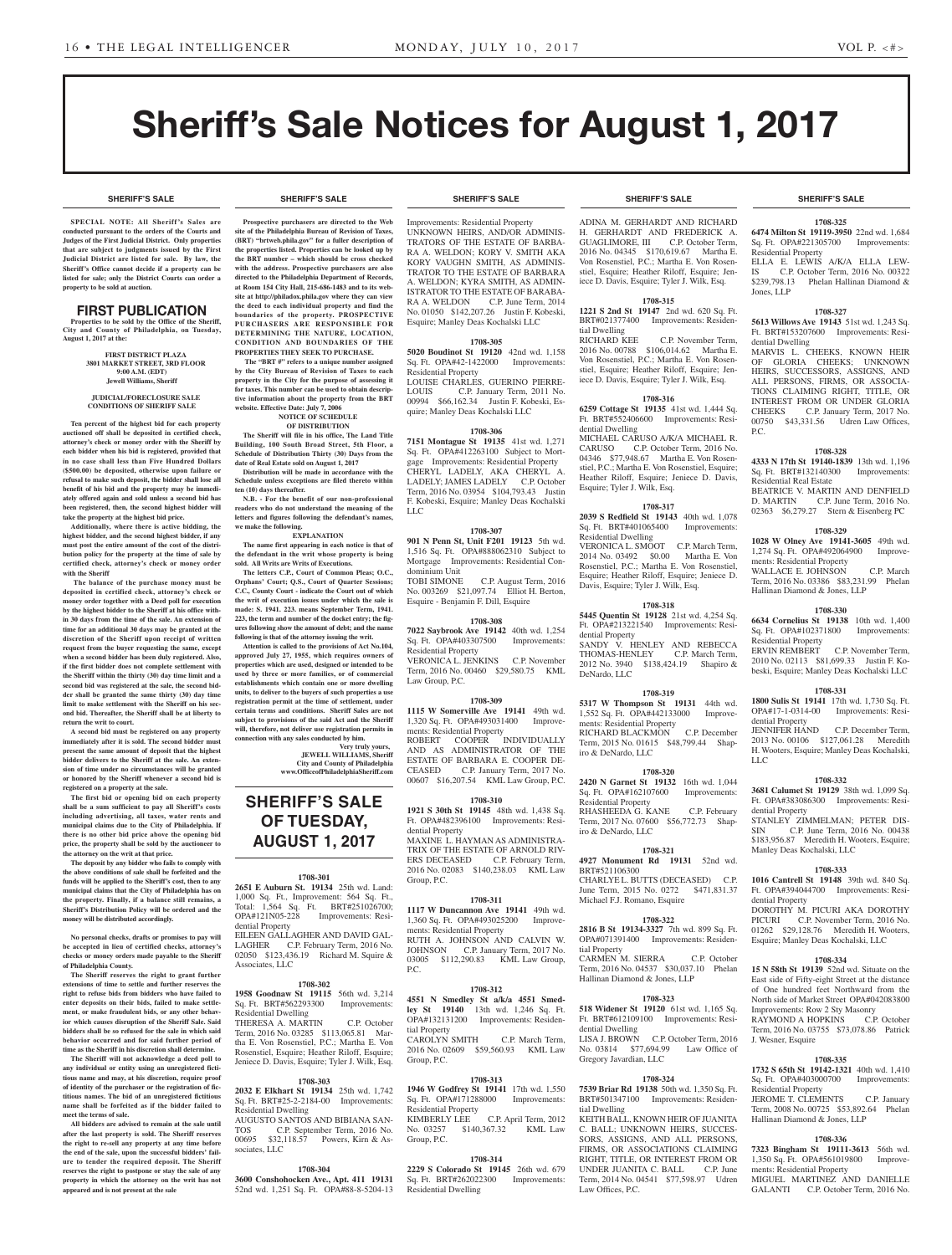**SHERIFF'S SALE SHERIFF'S SALE SHERIFF'S SALE SHERIFF'S SALE SHERIFF'S SALE**

# Sheriff's Sale Notices for August 1, 2017

**SPECIAL NOTE: All Sheriff 's Sales are conducted pursuant to the orders of the Courts and Judges of the First Judicial District. Only properties that are subject to judgments issued by the First Judicial District are listed for sale. By law, the Sheriff's Office cannot decide if a property can be listed for sale; only the District Courts can order a property to be sold at auction.** 

### FIRST PUBLICATION

**Properties to be sold by the Office of the Sheriff, City and County of Philadelphia, on Tuesday, August 1, 2017 at the:** 

### **FIRST DISTRICT PLAZA 3801 MARKET STREET, 3RD FLOOR 9:00 A.M. (EDT) Jewell Williams, Sheriff**

### **JUDICIAL/FORECLOSURE SALE CONDITIONS OF SHERIFF SALE**

**Ten percent of the highest bid for each property auctioned off shall be deposited in certified check, attorney's check or money order with the Sheriff by each bidder when his bid is registered, provided that in no case shall less than Five Hundred Dollars (\$500.00) be deposited, otherwise upon failure or refusal to make such deposit, the bidder shall lose all benefit of his bid and the property may be immediately offered again and sold unless a second bid has been registered, then, the second highest bidder will take the property at the highest bid price.**

**Additionally, where there is active bidding, the highest bidder, and the second highest bidder, if any must post the entire amount of the cost of the distribution policy for the property at the time of sale by certified check, attorney's check or money order with the Sheriff**

 **The balance of the purchase money must be deposited in certified check, attorney's check or money order together with a Deed poll for execution by the highest bidder to the Sheriff at his office within 30 days from the time of the sale. An extension of time for an additional 30 days may be granted at the discretion of the Sheriff upon receipt of written request from the buyer requesting the same, except when a second bidder has been duly registered. Also, if the first bidder does not complete settlement with the Sheriff within the thirty (30) day time limit and a second bid was registered at the sale, the second bidder shall be granted the same thirty (30) day time limit to make settlement with the Sheriff on his second bid. Thereafter, the Sheriff shall be at liberty to return the writ to court.**

**A second bid must be registered on any property immediately after it is sold. The second bidder must present the same amount of deposit that the highest bidder delivers to the Sheriff at the sale. An extension of time under no circumstances will be granted or honored by the Sheriff whenever a second bid is registered on a property at the sale.** 

**The first bid or opening bid on each property shall be a sum sufficient to pay all Sheriff's costs including advertising, all taxes, water rents and municipal claims due to the City of Philadelphia. If there is no other bid price above the opening bid price, the property shall be sold by the auctioneer to the attorney on the writ at that price.**

**The deposit by any bidder who fails to comply with the above conditions of sale shall be forfeited and the funds will be applied to the Sheriff's cost, then to any municipal claims that the City of Philadelphia has on the property. Finally, if a balance still remains, a Sheriff's Distribution Policy will be ordered and the money will be distributed accordingly.**

**No personal checks, drafts or promises to pay will be accepted in lieu of certified checks, attorney's checks or money orders made payable to the Sheriff of Philadelphia County.**

**The Sheriff reserves the right to grant further extensions of time to settle and further reserves the right to refuse bids from bidders who have failed to enter deposits on their bids, failed to make settlement, or make fraudulent bids, or any other behavior which causes disruption of the Sheriff Sale. Said bidders shall be so refused for the sale in which said behavior occurred and for said further period of time as the Sheriff in his discretion shall determine.**

**The Sheriff will not acknowledge a deed poll to any individual or entity using an unregistered fictitious name and may, at his discretion, require proof of identity of the purchaser or the registration of fictitious names. The bid of an unregistered fictitious name shall be forfeited as if the bidder failed to meet the terms of sale.**

**All bidders are advised to remain at the sale until after the last property is sold. The Sheriff reserves the right to re-sell any property at any time before the end of the sale, upon the successful bidders' failure to tender the required deposit. The Sheriff reserves the right to postpone or stay the sale of any property in which the attorney on the writ has not appeared and is not present at the sale**

### **SHERIFF'S SALE SHERIFF'S SALE SHERIFF'S SALE SHERIFF'S SALE SHERIFF'S SALE**

**Prospective purchasers are directed to the Web site of the Philadelphia Bureau of Revision of Taxes, (BRT) "brtweb.phila.gov" for a fuller description of the properties listed. Properties can be looked up by the BRT number – which should be cross checked with the address. Prospective purchasers are also directed to the Philadelphia Department of Records, at Room 154 City Hall, 215-686-1483 and to its website at http://philadox.phila.gov where they can view the deed to each individual property and find the boundaries of the property. PROSPECTIVE PURCHASERS ARE RESPONSIBLE FOR DETERMINING THE NATURE, LOCATION, CONDITION AND BOUNDARIES OF THE PROPERTIES THEY SEEK TO PURCHASE.**

The "BRT #" refers to a unique number assign **by the City Bureau of Revision of Taxes to each property in the City for the purpose of assessing it for taxes. This number can be used to obtain descriptive information about the property from the BRT website. Effective Date: July 7, 2006**

**NOTICE OF SCHEDULE OF DISTRIBUTION**

**The Sheriff will file in his office, The Land Title Building, 100 South Broad Street, 5th Floor, a Schedule of Distribution Thirty (30) Days from the date of Real Estate sold on August 1, 2017 Distribution will be made in accordance with the** 

**Schedule unless exceptions are filed thereto within ten (10) days thereafter. N.B. - For the benefit of our non-professional** 

**readers who do not understand the meaning of the letters and figures following the defendant's names, we make the following. EXPLANATION**

**The name first appearing in each notice is that of the defendant in the writ whose property is being sold. All Writs are Writs of Executions.**

**The letters C.P., Court of Common Pleas; O.C., Orphans' Court; Q.S., Court of Quarter Sessions; C.C., County Court - indicate the Court out of which the writ of execution issues under which the sale is made: S. 1941. 223. means September Term, 1941. 223, the term and number of the docket entry; the figures following show the amount of debt; and the name following is that of the attorney issuing the writ.**

**Attention is called to the provisions of Act No.104, approved July 27, 1955, which requires owners of properties which are used, designed or intended to be used by three or more families, or of commercial establishments which contain one or more dwelling units, to deliver to the buyers of such properties a use registration permit at the time of settlement, under certain terms and conditions. Sheriff Sales are not subject to provisions of the said Act and the Sheriff will, therefore, not deliver use registration permits in connection with any sales conducted by him.**

**Very truly yours, JEWELL WILLIAMS, Sheriff City and County of Philadelphia www.OfficeofPhiladelphiaSheriff.com**

# **SHERIFF'S SALE OF TUESDAY, AUGUST 1, 2017**

### **1708-301**

**2651 E Auburn St. 19134** 25th wd. Land: 1,000 Sq. Ft., Improvement: 564 Sq. Ft., Total: 1,564 Sq. Ft. BRT#251026700; OPA#121N05-228 Improvements: Residential Property EILEEN GALLAGHER AND DAVID GAL-LAGHER C.P. February Term, 2016 No.

02050 \$123,436.19 Richard M. Squire & Associates, LLC **1708-302**

**1958 Goodnaw St 19115** 56th wd. 3,214 Sq. Ft. BRT#562293300 Residential Dwelling THERESA A. MARTIN C.P. October Term, 2016 No. 03285 \$113,065.81 Martha E. Von Rosenstiel, P.C.; Martha E. Von Rosenstiel, Esquire; Heather Riloff, Esquire; Jeniece D. Davis, Esquire; Tyler J. Wilk, Esq.

### **1708-303**

**2032 E Elkhart St 19134** 25th wd. 1,742 Sq. Ft. BRT#25-2-2184-00 Improvements: Residential Dwelling AUGUSTO SANTOS AND BIBIANA SAN-

TOS C.P. September Term, 2016 No. 00695 \$32,118.57 Powers, Kirn & Associates, LLC

### **1708-304**

**3600 Conshohocken Ave., Apt. 411 19131**  52nd wd. 1,251 Sq. Ft. OPA#88-8-5204-13

Improvements: Residential Property UNKNOWN HEIRS, AND/OR ADMINIS-TRATORS OF THE ESTATE OF BARBA-RA A. WELDON; KORY V. SMITH AKA KORY VAUGHN SMITH, AS ADMINIS-TRATOR TO THE ESTATE OF BARBARA A. WELDON; KYRA SMITH, AS ADMIN-ISTRATOR TO THE ESTATE OF BARABA-RA A. WELDON C.P. June Term, 2014 No. 01050 \$142,207.26 Justin F. Kobeski, Esquire; Manley Deas Kochalski LLC

### **1708-305**

**5020 Boudinot St 19120** 42nd wd. 1,158 Sq. Ft. OPA#42-1422000 Improvements: Residential Property LOUISE CHARLES, GUERINO PIERRE-

LOUIS C.P. January Term, 2011 No. 00994 \$66,162.34 Justin F. Kobeski, Esquire; Manley Deas Kochalski LLC

# **1708-306 7151 Montague St 19135** 41st wd. 1,271 Sq. Ft. OPA#412263100 Subject to Mort-

gage Improvements: Residential Property CHERYL LADELY, AKA CHERYL A.<br>LADELY, JAMES LADELY C.P. October LADELY; JAMES LADELY Term, 2016 No. 03954 \$104,793.43 Justin F. Kobeski, Esquire; Manley Deas Kochalski LLC

### **1708-307**

**901 N Penn St, Unit F201 19123** 5th wd. 1,516 Sq. Ft. OPA#888062310 Subject to Mortgage Improvements: Residential Condominium Unit TOBI SIMONE C.P. August Term, 2016 No. 003269 \$21,097.74 Elliot H. Berton, Esquire - Benjamin F. Dill, Esquire

### **1708-308**

**7022 Saybrook Ave 19142** 40th wd. 1,254 Sq. Ft. OPA#403307500 Improvements: Residential Property VERONICA L. JENKINS C.P. November Term, 2016 No. 00460 \$29,580.75 KML

Law Group, P.C.

# **1708-309**

**1115 W Somerville Ave 19141** 49th wd. 1,320 Sq. Ft. OPA#493031400 Improvements: Residential Property ROBERT COOPER INDIVIDUALLY AND AS ADMINISTRATOR OF THE ESTATE OF BARBARA E. COOPER DE-<br>CEASED C.P. January Term, 2017 No. C.P. January Term, 2017 No. 00607 \$16,207.54 KML Law Group, P.C.

### **1708-310**

**1921 S 30th St 19145** 48th wd. 1,438 Sq. Ft. OPA#482396100 Improvements: Residential Property MAXINE L. HAYMAN AS ADMINISTRA-TRIX OF THE ESTATE OF ARNOLD RIVERS DECEASED C.P. February Term, C.P. February Term, 2016 No. 02083 \$140,238.03 KML Law

### **1708-311**

Group, P.C.

**1117 W Duncannon Ave 19141** 49th wd. 1,360 Sq. Ft. OPA#493025200 Improvements: Residential Property RUTH A. JOHNSON AND CALVIN W. JOHNSON C.P. January Term, 2017 No. 03005 \$112,290.83 KML Law Group, P.C.

### **1708-312**

**4551 N Smedley St a/k/a 4551 Smedley St 19140** 13th wd. 1,246 Sq. Ft. OPA#132131200 Improvements: Residential Property CAROLYN SMITH C.P. March Term, 2016 No. 02609 \$59,560.93 KML Law Group, P.C.

### **1708-313**

**1946 W Godfrey St 19141** 17th wd. 1,550 Sq. Ft. OPA#171288000 Improvements: Residential Property<br>KIMBERLY LEE C.P. April Term, 2012<br>,367.32 KML Law No. 03257 \$140,367.32 Group, P.C.

### **1708-314**

**2229 S Colorado St 19145** 26th wd. 679 Sq. Ft. BRT#262022300 Improvements: Residential Dwelling

ADINA M. GERHARDT AND RICHARD H. GERHARDT AND FREDERICK A. GUAGLIMORE, III C.P. October Term, 2016 No. 04345 \$170,619.67 Martha E. Von Rosenstiel, P.C.; Martha E. Von Rosenstiel, Esquire; Heather Riloff, Esquire; Jeniece D. Davis, Esquire; Tyler J. Wilk, Esq.

### **1708-315**

**1221 S 2nd St 19147** 2nd wd. 620 Sq. Ft. BRT#021377400 Improvements: Residential Dwelling RICHARD KEE C.P. November Term, 2016 No. 00788 \$106,014.62 Martha E. Von Rosenstiel, P.C.; Martha E. Von Rosenstiel, Esquire; Heather Riloff, Esquire; Jeniece D. Davis, Esquire; Tyler J. Wilk, Esq.

### **1708-316**

**6259 Cottage St 19135** 41st wd. 1,444 Sq. Ft. BRT#552406600 Improvements: Residential Dwelling

MICHAEL CARUSO A/K/A MICHAEL R. CARUSO C.P. October Term, 2016 No. 04346 \$77,948.67 Martha E. Von Rosenstiel, P.C.; Martha E. Von Rosenstiel, Esquire; Heather Riloff, Esquire; Jeniece D. Davis, Esquire; Tyler J. Wilk, Esq.

### **1708-317**

**2039 S Redfield St 19143** 40th wd. 1,078 Sq. Ft. BRT#401065400 Improvements: Residential Dwelling VERONICA L. SMOOT C.P. March Term, 2014 No. 03492 \$0.00 Martha E. Von

Rosenstiel, P.C.; Martha E. Von Rosenstiel, Esquire; Heather Riloff, Esquire; Jeniece D. Davis, Esquire; Tyler J. Wilk, Esq.

### **1708-318 5445 Quentin St 19128** 21st wd. 4,254 Sq.

Ft. OPA#213221540 Improvements: Residential Property SANDY V. HENLEY AND REBECCA THOMAS-HENLEY C.P. March Term, 2012 No. 3940 \$138,424.19 Shapiro & DeNardo, LLC

### **1708-319**

**5317 W Thompson St 19131** 44th wd. 1,552 Sq. Ft. OPA#442133000 Improvements: Residential Property RICHARD BLACKMON C.P. December Term, 2015 No. 01615 \$48,799.44 Shapiro & DeNardo, LLC

### **1708-320**

**2420 N Garnet St 19132** 16th wd. 1,044 Sq. Ft. OPA#162107600 Improvements: Residential Property RHASHEEDA G. KANE C.P. February

Term, 2017 No. 07600 \$56,772.73 Shapiro & DeNardo, LLC

# **1708-321**

**4927 Monument Rd 19131** 52nd wd. BRT#521106300 CHARLYE L. BUTTS (DECEASED) C.P. June Term, 2015 No. 0272 \$471,831.37 Michael F.J. Romano, Esquire

### **1708-322**

**2816 B St 19134-3327** 7th wd. 899 Sq. Ft. OPA#071391400 Improvements: Residential Property CARMEN M. SIERRA C.P. October Term, 2016 No. 04537 \$30,037.10 Phelan Hallinan Diamond & Jones, LLP

### **1708-323**

**518 Widener St 19120** 61st wd. 1,165 Sq. Ft. BRT#612109100 Improvements: Residential Dwelling LISA J. BROWN C.P. October Term, 2016 No. 03814 \$77,694.99 Law Office of Gregory Javardian, LLC

### **1708-324**

**7539 Briar Rd 19138** 50th wd. 1,350 Sq. Ft. BRT#501347100 Improvements: Residential Dwelling KEITH BALL, KNOWN HEIR OF JUANITA C. BALL; UNKNOWN HEIRS, SUCCES-

SORS, ASSIGNS, AND ALL PERSONS, FIRMS, OR ASSOCIATIONS CLAIMING RIGHT, TITLE, OR INTEREST FROM OR UNDER JUANITA C. BALL C.P. June Term, 2014 No. 04541 \$77,598.97 Udren Law Offices, P.C.

### **1708-325**

**6474 Milton St 19119-3950** 22nd wd. 1,684 Sq. Ft. OPA#221305700 Improvements: Residential Property

ELLA E. LEWIS A/K/A ELLA LEW-IS C.P. October Term, 2016 No. 00322 \$239,798.13 Phelan Hallinan Diamond & Jones, LLP

### **1708-327**

**5613 Willows Ave 19143** 51st wd. 1,243 Sq. Ft. BRT#153207600 Improvements: Residential Dwelling

MARVIS L. CHEEKS, KNOWN HEIR OF GLORIA CHEEKS; UNKNOWN HEIRS, SUCCESSORS, ASSIGNS, AND ALL PERSONS, FIRMS, OR ASSOCIA-TIONS CLAIMING RIGHT, TITLE, OR INTEREST FROM OR UNDER GLORIA<br>CHEEKS C.P. January Term, 2017 No. C.P. January Term, 2017 No. 00750 \$43,331.56 Udren Law Offices, P.C.

### **1708-328**

**4333 N 17th St 19140-1839** 13th wd. 1,196 Sq. Ft. BRT#132140300 Improvements: Residential Real Estate BEATRICE V. MARTIN AND DENFIELD

D. MARTIN C.P. June Term, 2016 No. 02363 \$6,279.27 Stern & Eisenberg PC **1708-329 1028 W Olney Ave 19141-3605** 49th wd. 1,274 Sq. Ft. OPA#492064900 Improve-

WALLACE E. JOHNSON C.P. March Term, 2016 No. 03386 \$83,231.99 Phelan

**1708-330 6634 Cornelius St 19138** 10th wd. 1,400 Sq. Ft. OPA#102371800 Improvements:

ERVIN REMBERT C.P. November Term, 2010 No. 02113 \$81,699.33 Justin F. Kobeski, Esquire; Manley Deas Kochalski LLC **1708-331 1800 Sulis St 19141** 17th wd. 1,730 Sq. Ft. OPA#17-1-0314-00 Improvements: Resi-

JENNIFER HAND C.P. December Term, 2013 No. 00106 \$127,061.28 Meredith H. Wooters, Esquire; Manley Deas Kochalski,

**1708-332 3681 Calumet St 19129** 38th wd. 1,099 Sq. Ft. OPA#383086300 Improvements: Resi-

STANLEY ZIMMELMAN; PETER DIS-SIN C.P. June Term, 2016 No. 00438 \$183,956.87 Meredith H. Wooters, Esquire;

**1708-333 1016 Cantrell St 19148** 39th wd. 840 Sq. Ft. OPA#394044700 Improvements: Resi-

DOROTHY M. PICURI AKA DOROTHY PICURI C.P. November Term, 2016 No. 01262 \$29,128.76 Meredith H. Wooters, Esquire; Manley Deas Kochalski, LLC **1708-334 15 N 58th St 19139** 52nd wd. Situate on the East side of Fifty-eight Street at the distance of One hundred feet Northward from the North side of Market Street OPA#042083800 Improvements: Row 2 Sty Masonry RAYMOND A HOPKINS C.P. October Term, 2016 No. 03755 \$73,078.86 Patrick

**1708-335 1732 S 65th St 19142-1321** 40th wd. 1,410 Sq. Ft. OPA#403000700 Improvements:

JEROME T. CLEMENTS C.P. January Term, 2008 No. 00725 \$53,892.64 Phelan

**1708-336 7323 Bingham St 19111-3613** 56th wd. 1,350 Sq. Ft. OPA#561019800 Improve-

MIGUEL MARTINEZ AND DANIELLE GALANTI C.P. October Term, 2016 No.

Hallinan Diamond & Jones, LLP

ments: Residential Property

Manley Deas Kochalski, LLC

ments: Residential Property

Residential Property

dential Property

dential Property

dential Property

J. Wesner, Esquire

Residential Property

LLC

Hallinan Diamond & Jones, LLP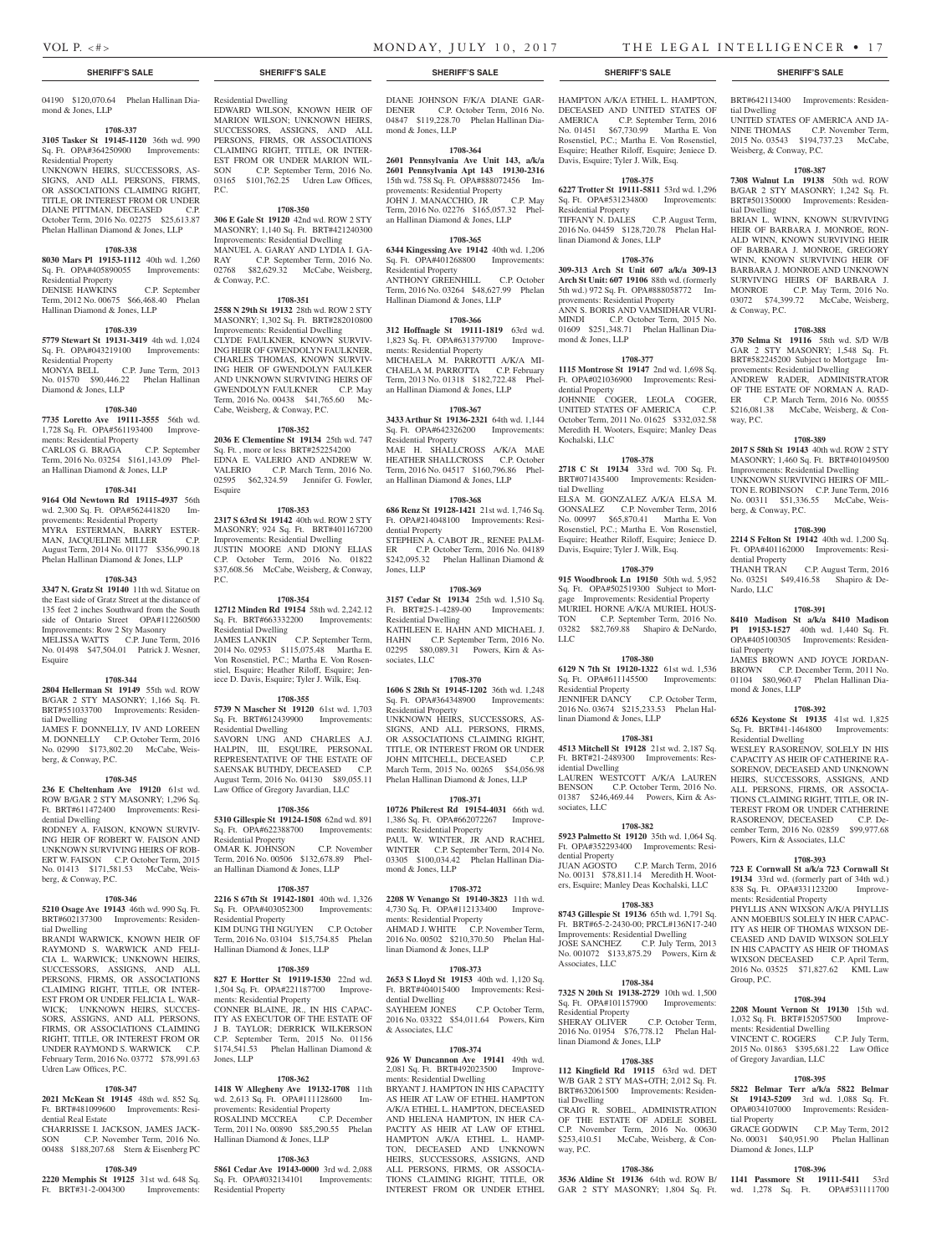# VOL P. <#>
MONDAY, JULY 10, 2017
THE LEGAL INTELLIGENCER • 17

tial Dwelling

tial Dwelling

& Conway, P.C.

way, P.C.

berg, & Conway, P.C.

dential Property<br>THANH TRAN

Nardo, LLC

tial Property

mond & Jones, LLP

Residential Dwelling

Weisberg, & Conway, P.C.

BRT#642113400 Improvements: Residen-

UNITED STATES OF AMERICA AND JA-NINE THOMAS C.P. November Term, 2015 No. 03543 \$194,737.23 McCabe,

**1708-387 7308 Walnut Ln 19138** 50th wd. ROW B/GAR 2 STY MASONRY; 1,242 Sq. Ft. BRT#501350000 Improvements: Residen-

BRIAN L. WINN, KNOWN SURVIVING HEIR OF BARBARA J. MONROE, RON-ALD WINN, KNOWN SURVIVING HEIR OF BARBARA J. MONROE, GREGORY WINN, KNOWN SURVIVING HEIR OF BARBARA J. MONROE AND UNKNOWN SURVIVING HEIRS OF BARBARA J. MONROE C.P. May Term, 2016 No. 03072 \$74,399.72 McCabe, Weisberg,

**1708-388 370 Selma St 19116** 58th wd. S/D W/B GAR 2 STY MASONRY; 1,548 Sq. Ft. BRT#582245200 Subject to Mortgage Improvements: Residential Dwelling ANDREW RADER, ADMINISTRATOR OF THE ESTATE OF NORMAN A. RAD-ER C.P. March Term, 2016 No. 00555 \$216,081.38 McCabe, Weisberg, & Con-

**1708-389 2017 S 58th St 19143** 40th wd. ROW 2 STY MASONRY; 1,460 Sq. Ft. BRT#401049500 Improvements: Residential Dwelling UNKNOWN SURVIVING HEIRS OF MIL-TON E. ROBINSON C.P. June Term, 2016 No. 00311 \$51,336.55 McCabe, Weis-

**1708-390 2214 S Felton St 19142** 40th wd. 1,200 Sq. Ft. OPA#401162000 Improvements: Resi-

No. 03251 \$49,416.58 Shapiro & De-

**1708-391 8410 Madison St a/k/a 8410 Madison Pl 19153-1527** 40th wd. 1,440 Sq. Ft. OPA#405100305 Improvements: Residen-

JAMES BROWN AND JOYCE JORDAN-BROWN C.P. December Term, 2011 No. 01104 \$80,960.47 Phelan Hallinan Dia-

**1708-392 6526 Keystone St 19135** 41st wd. 1,825 Sq. Ft. BRT#41-1464800 Improvements:

WESLEY RASORENOV, SOLELY IN HIS CAPACITY AS HEIR OF CATHERINE RA-SORENOV, DECEASED AND UNKNOWN HEIRS, SUCCESSORS, ASSIGNS, AND ALL PERSONS, FIRMS, OR ASSOCIA-TIONS CLAIMING RIGHT, TITLE, OR IN-TEREST FROM OR UNDER CATHERINE RASORENOV, DECEASED C.P. December Term, 2016 No. 02859 \$99,977.68

**1708-393 723 E Cornwall St a/k/a 723 Cornwall St 19134** 33rd wd. (formerly part of 34th wd.) 838 Sq. Ft. OPA#331123200 Improve-

PHYLLIS ANN WIXSON A/K/A PHYLLIS ANN MOEBIUS SOLELY IN HER CAPAC-ITY AS HEIR OF THOMAS WIXSON DE-CEASED AND DAVID WIXSON SOLELY IN HIS CAPACITY AS HEIR OF THOMAS WIXSON DECEASED C.P. April Term, 2016 No. 03525 \$71,827.62 KML Law

**1708-394 2208 Mount Vernon St 19130** 15th wd. 1,032 Sq. Ft. BRT#152057500 Improve-

VINCENT C. ROGERS C.P. July Term, VINCENT C. ROGERS C.P. July Term,<br>2015 No. 01863 \$395,681.22 Law Office

**1708-395 5822 Belmar Terr a/k/a 5822 Belmar St 19143-5209** 3rd wd. 1,088 Sq. Ft. OPA#034107000 Improvements: Residen-

GRACE GODWIN C.P. May Term, 2012 No. 00031 \$40,951.90 Phelan Hallinan

**1708-396 1141 Passmore St 19111-5411** 53rd wd. 1,278 Sq. Ft. OPA#531111700

Powers, Kirn & Associates, LLC

ments: Residential Property

ments: Residential Dwelling

of Gregory Javardian, LLC

Diamond & Jones, LLP

Group, P.C.

tial Property

C.P. August Term, 2016

04190 \$120,070.64 Phelan Hallinan Diamond & Jones, LLP

### **1708-337**

**3105 Tasker St 19145-1120** 36th wd. 990 Sq. Ft. OPA#364250900 Improvements: Residential Property UNKNOWN HEIRS, SUCCESSORS, AS-SIGNS, AND ALL PERSONS, FIRMS, OR ASSOCIATIONS CLAIMING RIGHT TITLE, OR INTEREST FROM OR UNDER DIANE PITTMAN, DECEASED C.P. October Term, 2016 No. 02275 \$25,613.87 Phelan Hallinan Diamond & Jones, LLP

### **1708-338**

**8030 Mars Pl 19153-1112** 40th wd. 1,260 Sq. Ft. OPA#405890055 Improvements: Residential Property DENISE HAWKINS C.P. September Term, 2012 No. 00675 \$66,468.40 Phelan

Hallinan Diamond & Jones, LLP

# **1708-339**

**5779 Stewart St 19131-3419** 4th wd. 1,024 Sq. Ft. OPA#043219100 Improvements: Residential Property MONYA BELL C.P. June Term, 2013

No. 01570 \$90,446.22 Phelan Hallinan Diamond & Jones, LLP

### **1708-340**

**7735 Loretto Ave 19111-3555** 56th wd. 1,728 Sq. Ft. OPA#561193400 Improvements: Residential Property CARLOS G. BRAGA C.P. September Term, 2016 No. 03254 \$161,143.09 Phelan Hallinan Diamond & Jones, LLP

### **1708-341**

**9164 Old Newtown Rd 19115-4937** 56th wd. 2,300 Sq. Ft. OPA#562441820 Improvements: Residential Property MYRA ESTERMAN, BARRY ESTER-MAN, JACQUELINE MILLER C.P. August Term, 2014 No. 01177 \$356,990.18 Phelan Hallinan Diamond & Jones, LLP

### **1708-343**

**3347 N. Gratz St 19140** 11th wd. Sitatue on the East side of Gratz Street at the distance of 135 feet 2 inches Southward from the South side of Ontario Street OPA#112260500 Improvements: Row 2 Sty Masonry MELISSA WATTS C.P. June Term, 2016 No. 01498 \$47,504.01 Patrick J. Wesner, Esquire

### **1708-344**

**2804 Hellerman St 19149** 55th wd. ROW B/GAR 2 STY MASONRY; 1,166 Sq. Ft. BRT#551033700 Improvements: Residential Dwelling

JAMES F. DONNELLY, IV AND LOREEN M. DONNELLY C.P. October Term, 2016 No. 02990 \$173,802.20 McCabe, Weisberg, & Conway, P.C.

### **1708-345**

**236 E Cheltenham Ave 19120** 61st wd. ROW B/GAR 2 STY MASONRY; 1,296 Sq. Ft. BRT#611472400 Improvements: Residential Dwelling RODNEY A. FAISON, KNOWN SURVIV-

ING HEIR OF ROBERT W. FAISON AND UNKNOWN SURVIVING HEIRS OF ROB-ERT W. FAISON C.P. October Term, 2015 No. 01413 \$171,581.53 McCabe, Weisberg, & Conway, P.C.

### **1708-346**

**5210 Osage Ave 19143** 46th wd. 990 Sq. Ft. BRT#602137300 Improvements: Residential Dwelling

BRANDI WARWICK, KNOWN HEIR OF RAYMOND S. WARWICK AND FELI-CIA L. WARWICK; UNKNOWN HEIRS, SUCCESSORS, ASSIGNS, AND ALL PERSONS, FIRMS, OR ASSOCIATIONS CLAIMING RIGHT, TITLE, OR INTER-EST FROM OR UNDER FELICIA L. WAR-WICK; UNKNOWN HEIRS, SUCCES-SORS, ASSIGNS, AND ALL PERSONS, FIRMS, OR ASSOCIATIONS CLAIMING RIGHT, TITLE, OR INTEREST FROM OR UNDER RAYMOND S. WARWICK C.P. \$174,541.53 February Term, 2016 No. 03772 \$78,991.63 Jones, LLP Udren Law Offices, P.C.

### **1708-347**

**2021 McKean St 19145** 48th wd. 852 Sq. Ft. BRT#481099600 Improvements: Residential Real Estate

CHARRISSE I. JACKSON, JAMES JACK-SON C.P. November Term, 2016 No. 00488 \$188,207.68 Stern & Eisenberg PC

### **1708-349**

**2220 Memphis St 19125** 31st wd. 648 Sq. Ft. BRT#31-2-004300

EDWARD WILSON, KNOWN HEIR OF MARION WILSON; UNKNOWN HEIRS, SUCCESSORS, ASSIGNS, AND ALL PERSONS, FIRMS, OR ASSOCIATIONS CLAIMING RIGHT, TITLE, OR INTER-EST FROM OR UNDER MARION WIL-SON C.P. September Term, 2016 No. 03165 \$101,762.25 Udren Law Offices, P.C.

### **1708-350**

Residential Dwelling

**306 E Gale St 19120** 42nd wd. ROW 2 STY MASONRY; 1,140 Sq. Ft. BRT#421240300 Improvements: Residential Dwelling MANUEL A. GARAY AND LYDIA I. GA-RAY C.P. September Term, 2016 No. 02768 \$82,629.32 McCabe, Weisberg, & Conway, P.C.

**1708-351**

**2558 N 29th St 19132** 28th wd. ROW 2 STY MASONRY; 1,302 Sq. Ft. BRT#282010800 Improvements: Residential Dwelling CLYDE FAULKNER, KNOWN SURVIV-ING HEIR OF GWENDOLYN FAULKNER, CHARLES THOMAS, KNOWN SURVIV-ING HEIR OF GWENDOLYN FAULKER AND UNKNOWN SURVIVING HEIRS OF GWENDOLYN FAULKNER C.P. May Term, 2016 No. 00438 \$41,765.60 Mc-Cabe, Weisberg, & Conway, P.C.

### **1708-352**

**2036 E Clementine St 19134** 25th wd. 747 Sq. Ft. , more or less BRT#252254200 EDNA E. VALERIO AND ANDREW W. VALERIO C.P. March Term, 2016 No. 02595 \$62,324.59 Jennifer G. Fowler, Esquire

### **1708-353**

**2317 S 63rd St 19142** 40th wd. ROW 2 STY MASONRY; 924 Sq. Ft. BRT#401167200 Improvements: Residential Dwelling JUSTIN MOORE AND DIONY ELIAS C.P. October Term, 2016 No. 01822 \$37,608.56 McCabe, Weisberg, & Conway, P.C.

### **1708-354**

**12712 Minden Rd 19154** 58th wd. 2,242.12 Sq. Ft. BRT#663332200 Improvements: Residential Dwelling JAMES LANKIN C.P. September Term, 2014 No. 02953 \$115,075.48 Martha E.

Von Rosenstiel, P.C.; Martha E. Von Rosenstiel, Esquire; Heather Riloff, Esquire; Jeniece D. Davis, Esquire; Tyler J. Wilk, Esq.

### **1708-355**

**5739 N Mascher St 19120** 61st wd. 1,703 Sq. Ft. BRT#612439900 Improvements: Residential Dwelling SAVORN UNG AND CHARLES A.J. HALPIN, III, ESQUIRE, PERSONAL REPRESENTATIVE OF THE ESTATE OF

SAENSAK BUTHDY, DECEASED C.P. August Term, 2016 No. 04130 \$89,055.11 Law Office of Gregory Javardian, LLC

### **1708-356**

**5310 Gillespie St 19124-1508** 62nd wd. 891 Sq. Ft. OPA#622388700 Improvements: Residential Property OMAR K. JOHNSON C.P. November Term, 2016 No. 00506 \$132,678.89 Phelan Hallinan Diamond & Jones, LLP

### **1708-357**

**2216 S 67th St 19142-1801** 40th wd. 1,326 Sq. Ft. OPA#403052300 Improvements: Residential Property KIM DUNG THI NGUYEN C.P. October Term, 2016 No. 03104 \$15,754.85 Phelan Hallinan Diamond & Jones, LLP

### **1708-359**

**827 E Hortter St 19119-1530** 22nd wd. 1,504 Sq. Ft. OPA#221187700 Improvements: Residential Property CONNER BLAINE, JR., IN HIS CAPAC-ITY AS EXECUTOR OF THE ESTATE OF J B. TAYLOR; DERRICK WILKERSON C.P. September Term, 2015 No. 01156 Phelan Hallinan Diamond &

### **1708-362**

**1418 W Allegheny Ave 19132-1708** 11th wd. 2,613 Sq. Ft. OPA#111128600 Improvements: Residential Property ROSALIND MCCREA C.P. December Term, 2011 No. 00890 \$85,290.55 Phelan Hallinan Diamond & Jones, LLP

### **1708-363**

**5861 Cedar Ave 19143-0000** 3rd wd. 2,088 Sq. Ft. OPA#032134101 Improvements: Residential Property

### **SHERIFF'S SALE SHERIFF'S SALE SHERIFF'S SALE SHERIFF'S SALE SHERIFF'S SALE**

DIANE JOHNSON F/K/A DIANE GAR-DENER C.P. October Term, 2016 No. 04847 \$119,228.70 Phelan Hallinan Diamond & Jones, LLP

### **1708-364**

**2601 Pennsylvania Ave Unit 143, a/k/a 2601 Pennsylvania Apt 143 19130-2316**  15th wd. 758 Sq. Ft. OPA#888072456 Improvements: Residential Property JOHN J. MANACCHIO, JR C.P. May Term, 2016 No. 02276 \$165,057.32 Phelan Hallinan Diamond & Jones, LLP

### **1708-365**

**6344 Kingessing Ave 19142** 40th wd. 1,206 Sq. Ft. OPA#401268800 Improvements: Residential Property ANTHONY GREENHILL C.P. October Term, 2016 No. 03264 \$48,627.99 Phelan Hallinan Diamond & Jones, LLP

### **1708-366**

**312 Hoffnagle St 19111-1819** 63rd wd. 1,823 Sq. Ft. OPA#631379700 Improvements: Residential Property MICHAELA M. PARROTTI A/K/A MI-CHAELA M. PARROTTA C.P. February Term, 2013 No. 01318 \$182,722.48 Phelan Hallinan Diamond & Jones, LLP

### **1708-367**

**3433 Arthur St 19136-2321** 64th wd. 1,144 Sq. Ft. OPA#642326200 Improvements: Residential Property MAE H. SHALLCROSS A/K/A MAE HEATHER SHALLCROSS C.P. October Term, 2016 No. 04517 \$160,796.86 Phelan Hallinan Diamond & Jones, LLP

### **1708-368**

**686 Renz St 19128-1421** 21st wd. 1,746 Sq. Ft. OPA#214048100 Improvements: Residential Property STEPHEN A. CABOT JR., RENEE PALM-ER C.P. October Term, 2016 No. 04189 \$242,095.32 Phelan Hallinan Diamond & Jones, LLP

### **1708-369**

**3157 Cedar St 19134** 25th wd. 1,510 Sq. Ft. BRT#25-1-4289-00 Improvements: Residential Dwelling KATHLEEN E. HAHN AND MICHAEL J. HAHN C.P. September Term, 2016 No. 02295 \$80,089.31 Powers, Kirn & Associates, LLC

### **1708-370**

**1606 S 28th St 19145-1202** 36th wd. 1,248 Sq. Ft. OPA#364348900 Improvements: Residential Property UNKNOWN HEIRS, SUCCESSORS, AS-SIGNS, AND ALL PERSONS, FIRMS, OR ASSOCIATIONS CLAIMING RIGHT, TITLE, OR INTEREST FROM OR UNDER JOHN MITCHELL, DECEASED C.P. March Term, 2015 No. 00265 \$54,056.98 Phelan Hallinan Diamond & Jones, LLP

### **1708-371**

**10726 Philcrest Rd 19154-4031** 66th wd. 1,386 Sq. Ft. OPA#662072267 Improvements: Residential Property PAUL W. WINTER, JR AND RACHEL WINTER C.P. September Term, 2014 No. 03305 \$100,034.42 Phelan Hallinan Diamond & Jones, LLP

### **1708-372**

**2208 W Venango St 19140-3823** 11th wd. 4,730 Sq. Ft. OPA#112133400 Improvements: Residential Property AHMAD J. WHITE C.P. November Term, 2016 No. 00502 \$210,370.50 Phelan Hallinan Diamond & Jones, LLP

### **1708-373**

**2653 S Lloyd St 19153** 40th wd. 1,120 Sq. Ft. BRT#404015400 Improvements: Residential Dwelling SAYHEEM JONES C.P. October Term, 2016 No. 03322 \$54,011.64 Powers, Kirn & Associates, LLC

### **1708-374**

**926 W Duncannon Ave 19141** 49th wd. 2,081 Sq. Ft. BRT#492023500 Improvements: Residential Dwelling BRYANT J. HAMPTON IN HIS CAPACITY AS HEIR AT LAW OF ETHEL HAMPTON A/K/A ETHEL L. HAMPTON, DECEASED AND HELENA HAMPTON, IN HER CA-PACITY AS HEIR AT LAW OF ETHEL HAMPTON A/K/A ETHEL L. HAMP-

TON, DECEASED AND UNKNOWN HEIRS, SUCCESSORS, ASSIGNS, AND ALL PERSONS, FIRMS, OR ASSOCIA-TIONS CLAIMING RIGHT, TITLE, OR INTEREST FROM OR UNDER ETHEL

HAMPTON A/K/A ETHEL L. HAMPTON, DECEASED AND UNITED STATES OF AMERICA C.P. September Term, 2016 No. 01451 \$67,730.99 Martha E. Von Rosenstiel, P.C.; Martha E. Von Rosenstiel, Esquire; Heather Riloff, Esquire; Jeniece D. Davis, Esquire; Tyler J. Wilk, Esq.

# **1708-375**

**6227 Trotter St 19111-5811** 53rd wd. 1,296 Sq. Ft. OPA#531234800 Improvements: Residential Property TIFFANY N. DALES C.P. August Term, 2016 No. 04459 \$128,720.78 Phelan Hallinan Diamond & Jones, LLP

### **1708-376 309-313 Arch St Unit 607 a/k/a 309-13**

**Arch St Unit: 607 19106** 88th wd. (formerly 5th wd.) 972 Sq. Ft. OPA#888058772 Improvements: Residential Property ANN S. BORIS AND VAMSIDHAR VURI-MINDI C.P. October Term, 2015 No. 01609 \$251,348.71 Phelan Hallinan Diamond & Jones, LLP

### **1708-377**

**1115 Montrose St 19147** 2nd wd. 1,698 Sq. Ft. OPA#021036900 Improvements: Residential Property JOHNNIE COGER, LEOLA COGER, UNITED STATES OF AMERICA C.P. October Term, 2011 No. 01625 \$332,032.58

Meredith H. Wooters, Esquire; Manley Deas Kochalski, LLC **1708-378**

### **2718 C St 19134** 33rd wd. 700 Sq. Ft. BRT#071435400 Improvements: Residen-

tial Dwelling ELSA M. GONZALEZ A/K/A ELSA M. GONSALEZ C.P. November Term, 2016 No. 00997 \$65,870.41 Martha E. Von Rosenstiel, P.C.; Martha E. Von Rosenstiel, Esquire; Heather Riloff, Esquire; Jeniece D. Davis, Esquire; Tyler J. Wilk, Esq.

### **1708-379**

**915 Woodbrook Ln 19150** 50th wd. 5,952 Sq. Ft. OPA#502519300 Subject to Mortgage Improvements: Residential Property MURIEL HORNE A/K/A MURIEL HOUS-TON C.P. September Term, 2016 No. 03282 \$82,769.88 Shapiro & DeNardo, LLC

### **1708-380**

**6129 N 7th St 19120-1322** 61st wd. 1,536 Sq. Ft. OPA#611145500 Improvements: Residential Property JENNIFER DANCY C.P. October Term, 2016 No. 03674 \$215,233.53 Phelan Hallinan Diamond & Jones, LLP

### **1708-381**

**4513 Mitchell St 19128** 21st wd. 2,187 Sq. Ft. BRT#21-2489300 Improvements: Residential Dwelling LAUREN WESTCOTT A/K/A LAUREN BENSON C.P. October Term, 2016 No. 01387 \$246,469.44 Powers, Kirn & Associates, LLC

### **1708-382 5923 Palmetto St 19120** 35th wd. 1,064 Sq. Ft. OPA#352293400 Improvements: Resi-

No. 00131 \$78,811.14 Meredith H. Wooters, Esquire; Manley Deas Kochalski, LLC **1708-383 8743 Gillespie St 19136** 65th wd. 1,791 Sq. Ft. BRT#65-2-2430-00; PRCL#136N17-240 Improvements: Residential Dwelling JOSE SANCHEZ C.P. July Term, 2013 No. 001072 \$133,875.29 Powers, Kirn &

**1708-384 7325 N 20th St 19138-2729** 10th wd. 1,500 Sq. Ft. OPA#101157900 Improvements:

SHERAY OLIVER C.P. October Term, 2016 No. 01954 \$76,778.12 Phelan Hal-

**1708-385 112 Kingfield Rd 19115** 63rd wd. DET W/B GAR 2 STY MAS+OTH; 2,012 Sq. Ft. BRT#632061500 Improvements: Residen-

CRAIG R. SOBEL, ADMINISTRATION OF THE ESTATE OF ADELE SOBEL C.P. November Term, 2016 No. 00630 \$253,410.51 McCabe, Weisberg, & Con-

**1708-386 3536 Aldine St 19136** 64th wd. ROW B/ GAR 2 STY MASONRY; 1,804 Sq. Ft.

C.P. March Term, 2016

dential Property

Associates, LLC

Residential Property

tial Dwelling

way, P.C.

linan Diamond & Jones, LLP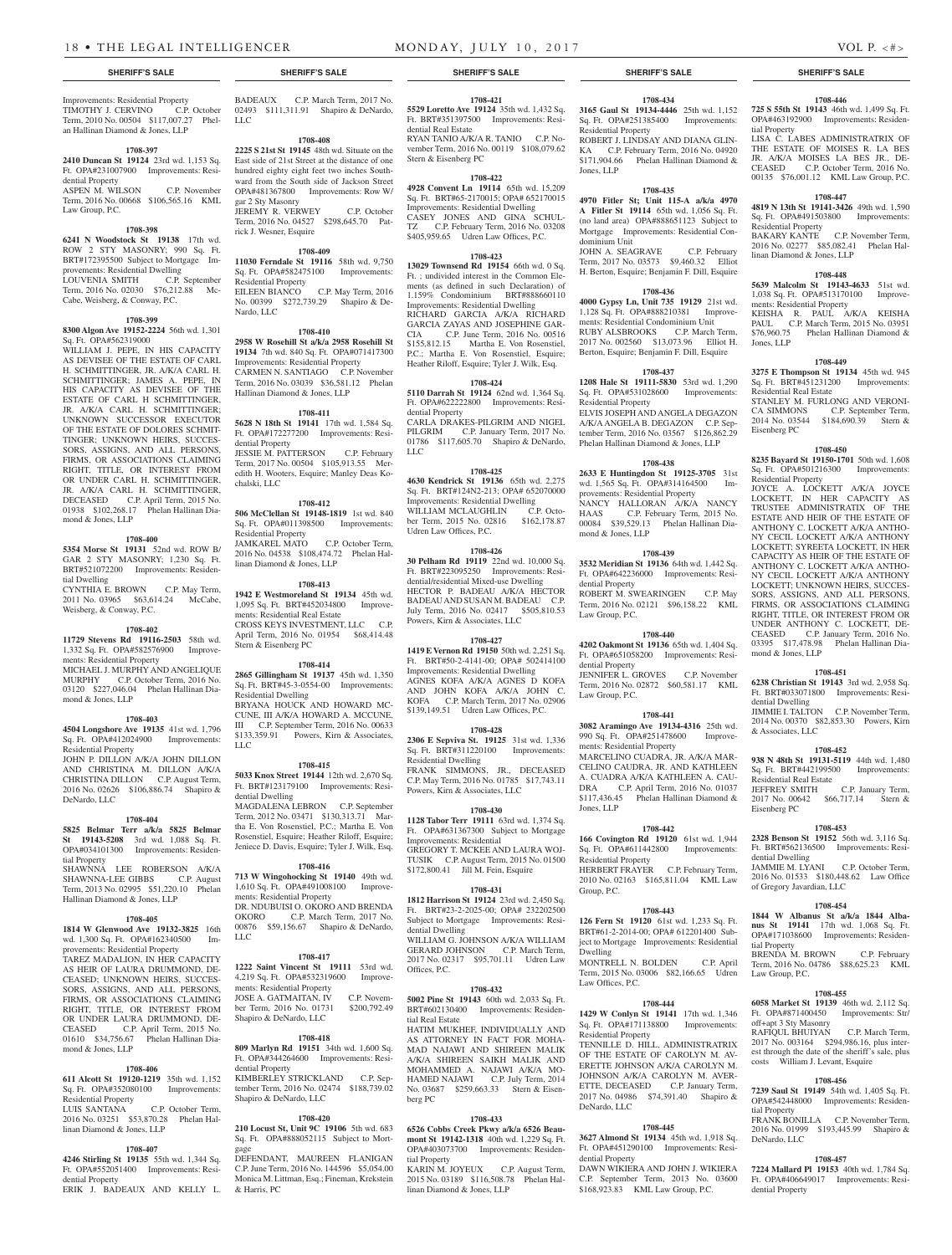Improvements: Residential Property

an Hallinan Diamond & Jones, LLP

dential Property

Law Group, P.C.

**1708-397 2410 Duncan St 19124** 23rd wd. 1,153 Sq. Ft. OPA#231007900 Improvements: Resi-

ASPEN M. WILSON C.P. November Term, 2016 No. 00668 \$106,565.16 KML

**1708-398 6241 N Woodstock St 19138** 17th wd. ROW 2 STY MASONRY; 990 Sq. Ft. BRT#172395500 Subject to Mortgage Improvements: Residential Dwelling LOUVENIA SMITH C.P. September Term, 2016 No. 02030 \$76,212.88 Mc-

**1708-399 8300 Algon Ave 19152-2224** 56th wd. 1,301

WILLIAM J. PEPE, IN HIS CAPACITY AS DEVISEE OF THE ESTATE OF CARL H. SCHMITTINGER, JR. A/K/A CARL H. SCHMITTINGER; JAMES A. PEPE, IN HIS CAPACITY AS DEVISEE OF THE ESTATE OF CARL H SCHMITTINGER, JR. A/K/A CARL H. SCHMITTINGER; UNKNOWN SUCCESSOR EXECUTOR OF THE ESTATE OF DOLORES SCHMIT-TINGER; UNKNOWN HEIRS, SUCCES-SORS, ASSIGNS, AND ALL PERSONS, FIRMS, OR ASSOCIATIONS CLAIMING RIGHT, TITLE, OR INTEREST FROM OR UNDER CARL H. SCHMITTINGER, JR. A/K/A CARL H. SCHMITTINGER, DECEASED C.P. April Term, 2015 No. 01938 \$102,268.17 Phelan Hallinan Dia-

**1708-400 5354 Morse St 19131** 52nd wd. ROW B/ GAR 2 STY MASONRY; 1,230 Sq. Ft. BRT#521072200 Improvements: Residen-

CYNTHIA E. BROWN C.P. May Term, 2011 No. 03965 \$63,614.24 McCabe,

**1708-402 11729 Stevens Rd 19116-2503** 58th wd. 1,332 Sq. Ft. OPA#582576900 Improve-

MICHAEL J. MURPHY AND ANGELIQUE MURPHY C.P. October Term, 2016 No. 03120 \$227,046.04 Phelan Hallinan Dia-

**1708-403 4504 Longshore Ave 19135** 41st wd. 1,796 Sq. Ft. OPA#412024900 Improvements:

JOHN P. DILLON A/K/A JOHN DILLON AND CHRISTINA M. DILLON A/K/A CHRISTINA DILLON C.P. August Term, 2016 No. 02626 \$106,886.74 Shapiro &

**1708-404 5825 Belmar Terr a/k/a 5825 Belmar St 19143-5208** 3rd wd. 1,088 Sq. Ft. OPA#034101300 Improvements: Residen-

SHAWNNA LEE ROBERSON A/K/A SHAWNNA-LEE GIBBS C.P. August Term, 2013 No. 02995 \$51,220.10 Phelan

**1708-405 1814 W Glenwood Ave 19132-3825** 16th wd. 1,300 Sq. Ft. OPA#162340500 Improvements: Residential Property TAREZ MADALION, IN HER CAPACITY AS HEIR OF LAURA DRUMMOND, DE-CEASED; UNKNOWN HEIRS, SUCCES-SORS, ASSIGNS, AND ALL PERSONS, FIRMS, OR ASSOCIATIONS CLAIMING RIGHT, TITLE, OR INTEREST FROM OR UNDER LAURA DRUMMOND, DE-CEASED C.P. April Term, 2015 No. 01610 \$34,756.67 Phelan Hallinan Dia-

**1708-406 611 Alcott St 19120-1219** 35th wd. 1,152 Sq. Ft. OPA#352080100 Improvements:

2016 No. 03251 \$53,870.28 Phelan Hal-

**1708-407 4246 Stirling St 19135** 55th wd. 1,344 Sq. Ft. OPA#552051400 Improvements: Resi-

ERIK J. BADEAUX AND KELLY L.

C.P. October Term,

Hallinan Diamond & Jones, LLP

Cabe, Weisberg, & Conway, P.C.

Sq. Ft. OPA#562319000

mond & Jones, LLP

Weisberg, & Conway, P.C.

ments: Residential Property

mond & Jones, LLP

Residential Property

DeNardo, LLC

tial Property

mond & Jones, LLP

Residential Property<br>LUIS SANTANA

dential Property

linan Diamond & Jones, LLP

tial Dwelling

**1708-421 5529 Loretto Ave 19124** 35th wd. 1,432 Sq. Ft. BRT#351397500 Improvements: Resi-

RYAN TANIO A/K/A R. TANIO C.P. November Term, 2016 No. 00119 \$108,079.62

**1708-422**

**1708-423 13029 Townsend Rd 19154** 66th wd. 0 Sq. Ft. ; undivided interest in the Common Elements (as defined in such Declaration) of 1.159% Condominium BRT#888660110 Improvements: Residential Dwelling RICHARD GARCIA A/K/A RICHARD GARCIA ZAYAS AND JOSEPHINE GAR-CIA C.P. June Term, 2016 No. 00516 \$155,812.15 Martha E. Von Rosenstiel, P.C.; Martha E. Von Rosenstiel, Esquire; Heather Riloff, Esquire; Tyler J. Wilk, Esq. **1708-424 5110 Darrah St 19124** 62nd wd. 1,364 Sq. Ft. OPA#622222800 Improvements: Resi-

CARLA DRAKES-PILGRIM AND NIGEL PILGRIM C.P. January Term, 2017 No.

**1708-425**

Sq. Ft. BRT#124N2-213; OPA# 652070000 Improvements: Residential Dwelling WILLIAM MCLAUGHLIN C.P. October Term, 2015 No. 02816 \$162,178.87

**1708-426 30 Pelham Rd 19119** 22nd wd. 10,000 Sq. Ft. BRT#223095250 Improvements: Residential/residential Mixed-use Dwelling HECTOR P. BADEAU A/K/A HECTOR BADEAU AND SUSAN M. BADEAU C.P. July Term, 2016 No. 02417 \$505,810.53

**1708-427 1419 E Vernon Rd 19150** 50th wd. 2,251 Sq. Ft. BRT#50-2-4141-00; OPA# 502414100 Improvements: Residential Dwelling AGNES KOFA A/K/A AGNES D KOFA AND JOHN KOFA A/K/A JOHN C. KOFA C.P. March Term, 2017 No. 02906 \$139,149.51 Udren Law Offices, P.C. **1708-428 2306 E Sepviva St. 19125** 31st wd. 1,336

**1708-430**

GREGORY T. MCKEE AND LAURA WOJ-TUSIK C.P. August Term, 2015 No. 01500 \$172,800.41 Jill M. Fein, Esquire

**1708-431 1812 Harrison St 19124** 23rd wd. 2,450 Sq. Ft. BRT#23-2-2025-00; OPA# 232202500 Subject to Mortgage Improvements: Resi-

WILLIAM G. JOHNSON A/K/A WILLIAM GERARD JOHNSON C.P. March Term, 2017 No. 02317 \$95,701.11 Udren Law

**1708-432 5002 Pine St 19143** 60th wd. 2,033 Sq. Ft. BRT#602130400 Improvements: Residen-

HATIM MUKHEF, INDIVIDUALLY AND AS ATTORNEY IN FACT FOR MOHA-MAD NAJAWI AND SHIREEN MALIK A/K/A SHIREEN SAIKH MALIK AND MOHAMMED A. NAJAWI A/K/A MO-HAMED NAJAWI C.P. July Term, 2014 No. 03687 \$259,663.33 Stern & Eisen-

**1708-433**

dential Dwelling

Offices, P.C.

tial Real Estate

Improvements: Residential Dwelling CASEY JONES AND GINA SCHUL-

dential Real Estate

Stern & Eisenberg PC

dential Property

Udren Law Offices, P.C.

Powers, Kirn & Associates, LLC

LLC

### **SHERIFF'S SALE SHERIFF'S SALE SHERIFF'S SALE SHERIFF'S SALE SHERIFF'S SALE**

**1708-434**

Sq. Ft. OPA#251385400 Improvements:

ROBERT J. LINDSAY AND DIANA GLIN-KA C.P. February Term, 2016 No. 04920 \$171,904.66 Phelan Hallinan Diamond &

**1708-435 4970 Fitler St; Unit 115-A a/k/a 4970 A Fitler St 19114** 65th wd. 1,056 Sq. Ft. (no land area) OPA#888651123 Subject to Mortgage Improvements: Residential Con-

JOHN A. SEAGRAVE C.P. February Term, 2017 No. 03573 \$9,460.32 Elliot H. Berton, Esquire; Benjamin F. Dill, Esquire **1708-436 4000 Gypsy Ln, Unit 735 19129** 21st wd. 1,128 Sq. Ft. OPA#888210381 Improvements: Residential Condominium Unit RUBY ALSBROOKS C.P. March Term, 2017 No. 002560 \$13,073.96 Elliot H. Berton, Esquire; Benjamin F. Dill, Esquire **1708-437 1208 Hale St 19111-5830** 53rd wd. 1,290 Sq. Ft. OPA#531028600 Improvements:

Residential Property

Jones, LLP

dominium Unit

### **1708-446**

**3165 Gaul St 19134-4446** 25th wd. 1,152 **725 S 55th St 19143** 46th wd. 1,499 Sq. Ft. OPA#463192900 Improvements: Residen-

tial Property LISA C. LABES ADMINISTRATRIX OF THE ESTATE OF MOISES R. LA BES JR. A/K/A MOISES LA BES JR., DE-CEASED C.P. October Term, 2016 No. 00135 \$76,001.12 KML Law Group, P.C.

### **1708-447**

**4819 N 13th St 19141-3426** 49th wd. 1,590 Sq. Ft. OPA#491503800 Improvements: Residential Property

BAKARY KANTE C.P. November Term, 2016 No. 02277 \$85,082.41 Phelan Hallinan Diamond & Jones, LLP

# **1708-448**

**5639 Malcolm St 19143-4633** 51st wd. 1,038 Sq. Ft. OPA#513170100 Improvements: Residential Property

KEISHA R. PAUL A/K/A KEISHA PAUL C.P. March Term, 2015 No. 03951 \$76,960.75 Phelan Hallinan Diamond & Jones, LLP

# **1708-449**

**3275 E Thompson St 19134** 45th wd. 945 Sq. Ft. BRT#451231200 Improvements: Residential Real Estate STANLEY M. FURLONG AND VERONI-<br>CA SIMMONS C.P. September Term,

C.P. September Term, 2014 No. 03544 \$184,690.39 Stern & Eisenberg PC

### **1708-450**

**8235 Bayard St 19150-1701** 50th wd. 1,608 Sq. Ft. OPA#501216300 Improvements: Residential Property

JOYCE A. LOCKETT A/K/A JOYCE LOCKETT, IN HER CAPACITY AS TRUSTEE ADMINISTRATIX OF THE ESTATE AND HEIR OF THE ESTATE OF ANTHONY C. LOCKETT A/K/A ANTHO-NY CECIL LOCKETT A/K/A ANTHONY LOCKETT; SYREETA LOCKETT, IN HER CAPACITY AS HEIR OF THE ESTATE OF ANTHONY C. LOCKETT A/K/A ANTHO-NY CECIL LOCKETT A/K/A ANTHONY LOCKETT; UNKNOWN HEIRS, SUCCES-SORS, ASSIGNS, AND ALL PERSONS, FIRMS, OR ASSOCIATIONS CLAIMING RIGHT, TITLE, OR INTEREST FROM OR UNDER ANTHONY C. LOCKETT, DE-CEASED C.P. January Term, 2016 No. 03395 \$17,478.98 Phelan Hallinan Diamond & Jones, LLP

### **1708-451**

**6238 Christian St 19143** 3rd wd. 2,958 Sq. Ft. BRT#033071800 Improvements: Residential Dwelling JIMMIE I. TALTON C.P. November Term, 2014 No. 00370 \$82,853.30 Powers, Kirn

& Associates, LLC

# **1708-452**

**938 N 48th St 19131-5119** 44th wd. 1,480 Sq. Ft. BRT#442199500 Improvements: Residential Real Estate<br>JEFFREY SMITH

C.P. January Term, 2017 No. 00642 \$66,717.14 Stern & Eisenberg PC

# **1708-453**

**2328 Benson St 19152** 56th wd. 3,116 Sq. Ft. BRT#562136500 Improvements: Residential Dwelling JAMMIE M. LYANI C.P. October Term,

2016 No. 01533 \$180,448.62 Law Office of Gregory Javardian, LLC

### **1708-454**

**1844 W Albanus St a/k/a 1844 Albanus St 19141** 17th wd. 1,068 Sq. Ft. OPA#171038600 Improvements: Residential Property BRENDA M. BROWN C.P. February

Term, 2016 No. 04786 \$88,625.23 KML Law Group, P.C.

# **1708-455**

**6058 Market St 19139** 46th wd. 2,112 Sq. Ft. OPA#871400450 Improvements: Str/ off+apt 3 Sty Masonry

RAFIQUL BHUIYAN C.P. March Term, 2017 No. 003164 \$294,986.16, plus interest through the date of the sheriff's sale, plus costs William J. Levant, Esquire

### **1708-456**

**7239 Saul St 19149** 54th wd. 1,405 Sq. Ft. OPA#542448000 Improvements: Residential Property FRANK BONILLA C.P. November Term,

2016 No. 01999 \$193,445.99 Shapiro & DeNardo, LLC

# **1708-457**

**7224 Mallard Pl 19153** 40th wd. 1,784 Sq. Ft. OPA#406649017 Improvements: Residential Property

TIMOTHY J. CERVINO C.P. October Term, 2010 No. 00504 \$117,007.27 Phel-BADEAUX C.P. March Term, 2017 No. 02493 \$111,311.91 Shapiro & DeNardo, LLC

**2225 S 21st St 19145** 48th wd. Situate on the East side of 21st Street at the distance of one hundred eighty eight feet two inches Southward from the South side of Jackson Street OPA#481367800 Improvements: Row W/ gar 2 Sty Masonry JEREMY R. VERWEY C.P. October Term, 2016 No. 04527 \$298,645.70 Patrick J. Wesner, Esquire

**1708-408**

**11030 Ferndale St 19116** 58th wd. 9,750 Sq. Ft. OPA#582475100 Residential Property EILEEN BIANCO C.P. May Term, 2016 No. 00399 \$272,739.29 Shapiro & De-Nardo, LLC

**2958 W Rosehill St a/k/a 2958 Rosehill St 19134** 7th wd. 840 Sq. Ft. OPA#071417300 Improvements: Residential Property CARMEN N. SANTIAGO C.P. November Term, 2016 No. 03039 \$36,581.12 Phelan Hallinan Diamond & Jones, LLP

### **1708-411**

**5628 N 18th St 19141** 17th wd. 1,584 Sq. Ft. OPA#172277200 Improvements: Residential Property JESSIE M. PATTERSON C.P. February Term, 2017 No. 00504 \$105,913.55 Meredith H. Wooters, Esquire; Manley Deas Ko-

### **1708-412**

**506 McClellan St 19148-1819** 1st wd. 840 Sq. Ft. OPA#011398500 Improvements: Residential Property JAMKAREL MATO C.P. October Term, 2016 No. 04538 \$108,474.72 Phelan Hallinan Diamond & Jones, LLP

### **1708-413**

**1942 E Westmoreland St 19134** 45th wd. 1,095 Sq. Ft. BRT#452034800 Improvements: Residential Real Estate CROSS KEYS INVESTMENT, LLC C.P. April Term, 2016 No. 01954 \$68,414.48 Stern & Eisenberg PC

Sq. Ft. BRT#45-3-0554-00 Improvements: Residential Dwelling BRYANA HOUCK AND HOWARD MC-CUNE, III A/K/A HOWARD A. MCCUNE, III C.P. September Term, 2016 No. 00633 \$133,359.91 Powers, Kirn & Associates, LLC

dential Dwelling

Term, 2012 No. 03471 \$130,313.71 Martha E. Von Rosenstiel, P.C.; Martha E. Von Rosenstiel, Esquire; Heather Riloff, Esquire; Jeniece D. Davis, Esquire; Tyler J. Wilk, Esq.

**713 W Wingohocking St 19140** 49th wd. ments: Residential Property LLC

### **1708-417**

**1222 Saint Vincent St 19111** 53rd wd. 4,219 Sq. Ft. OPA#532319600 Improvements: Residential Property JOSE A. GATMAITAN, IV C.P. November Term. 2016 No. 01731 \$200.792.49 ber Term, 2016 No. 01731 Shapiro & DeNardo, LLC

### **1708-418**

**809 Marlyn Rd 19151** 34th wd. 1,600 Sq. Ft. OPA#344264600 Improvements: Residential Property KIMBERLEY STRICKLAND C.P. September Term, 2016 No. 02474 \$188,739.02 Shapiro & DeNardo, LLC

### **1708-420**

Sq. Ft. OPA#888052115 Subject to Mortgage

DEFENDANT, MAUREEN FLANIGAN C.P. June Term, 2016 No. 144596 \$5,054.00 Monica M. Littman, Esq.; Fineman, Krekstein & Harris, PC

**1708-409 4928 Convent Ln 19114** 65th wd. 15,209 Sq. Ft. BRT#65-2170015; OPA# 652170015 TZ C.P. February Term, 2016 No. 03208 \$405,959.65 Udren Law Offices, P.C.

**1708-410**

chalski, LLC

### **1708-414**

**2865 Gillingham St 19137** 45th wd. 1,350

**5033 Knox Street 19144** 12th wd. 2,670 Sq. Ft. BRT#123179100 Improvements: Resi-

**210 Locust St, Unit 9C 19106** 5th wd. 683

**1708-415** MAGDALENA LEBRON C.P. September Sq. Ft. BRT#311220100 Improvements: Residential Dwelling FRANK SIMMONS, JR., DECEASED C.P. May Term, 2016 No. 01785 \$17,743.11 Powers, Kirn & Associates, LLC **1128 Tabor Terr 19111** 63rd wd. 1,374 Sq. Ft. OPA#631367300 Subject to Mortgage Improvements: Residential

### **1708-416**

1,610 Sq. Ft. OPA#491008100 Improve-DR. NDUBUISI O. OKORO AND BRENDA<br>OKORO C.P. March Term, 2017 No. C.P. March Term, 2017 No. 00876 \$59,156.67 Shapiro & DeNardo,

**6526 Cobbs Creek Pkwy a/k/a 6526 Beaumont St 19142-1318** 40th wd. 1,229 Sq. Ft. OPA#403073700 Improvements: Residen-

tial Property KARIN M. JOYEUX C.P. August Term, 2015 No. 03189 \$116,508.78 Phelan Hallinan Diamond & Jones, LLP

berg PC

01786 \$117,605.70 Shapiro & DeNardo, **4630 Kendrick St 19136** 65th wd. 2,275 Phelan Hallinan Diamond & Jones, LLP **1708-438 2633 E Huntingdon St 19125-3705** 31st

dential Property

Law Group, P.C.

dential Property

Law Group, P.C.

Jones, LLP

Group, P.C.

Dwelling

Law Offices, P.C.

Residential Property

DeNardo, LLC

dential Property

Residential Property

ments: Residential Property

Residential Property

wd. 1,565 Sq. Ft. OPA#314164500 Improvements: Residential Property NANCY HALLORAN A/K/A NANCY HAAS C.P. February Term, 2015 No. 00084 \$39,529.13 Phelan Hallinan Diamond & Jones, LLP

**1708-439 3532 Meridian St 19136** 64th wd. 1,442 Sq. Ft. OPA#642236000 Improvements: Resi-

ROBERT M. SWEARINGEN C.P. May Term, 2016 No. 02121 \$96,158.22 KML

**1708-440 4202 Oakmont St 19136** 65th wd. 1,404 Sq. Ft. OPA#651058200 Improvements: Resi-

JENNIFER L. GROVES C.P. November Term, 2016 No. 02872 \$60,581.17 KML

**1708-441 3082 Aramingo Ave 19134-4316** 25th wd. 990 Sq. Ft. OPA#251478600 Improve-

MARCELINO CUADRA, JR. A/K/A MAR-CELINO CAUDRA, JR. AND KATHLEEN A. CUADRA A/K/A KATHLEEN A. CAU-DRA C.P. April Term, 2016 No. 01037 \$117,436.45 Phelan Hallinan Diamond &

**1708-442 166 Covington Rd 19120** 61st wd. 1,944 Sq. Ft. OPA#611442800 Improvements:

HERBERT FRAYER C.P. February Term, 2010 No. 02163 \$165,811.04 KML Law

**1708-443 126 Fern St 19120** 61st wd. 1,233 Sq. Ft. BRT#61-2-2014-00; OPA# 612201400 Subject to Mortgage Improvements: Residential

MONTRELL N. BOLDEN C.P. April Term, 2015 No. 03006 \$82,166.65 Udren

**1708-444 1429 W Conlyn St 19141** 17th wd. 1,346 Sq. Ft. OPA#171138800 Improvements:

TENNILLE D. HILL, ADMINISTRATRIX OF THE ESTATE OF CAROLYN M. AV-ERETTE JOHNSON A/K/A CAROLYN M. JOHNSON A/K/A CAROLYN M. AVER-ETTE, DECEASED C.P. January Term, 2017 No. 04986 \$74,391.40 Shapiro &

**1708-445 3627 Almond St 19134** 45th wd. 1,918 Sq. Ft. OPA#451290100 Improvements: Resi-

DAWN WIKIERA AND JOHN J. WIKIERA C.P. September Term, 2013 No. 03600 \$168,923.83 KML Law Group, P.C.

ELVIS JOSEPH AND ANGELA DEGAZON A/K/A ANGELA B. DEGAZON C.P. September Term, 2016 No. 03567 \$126,862.29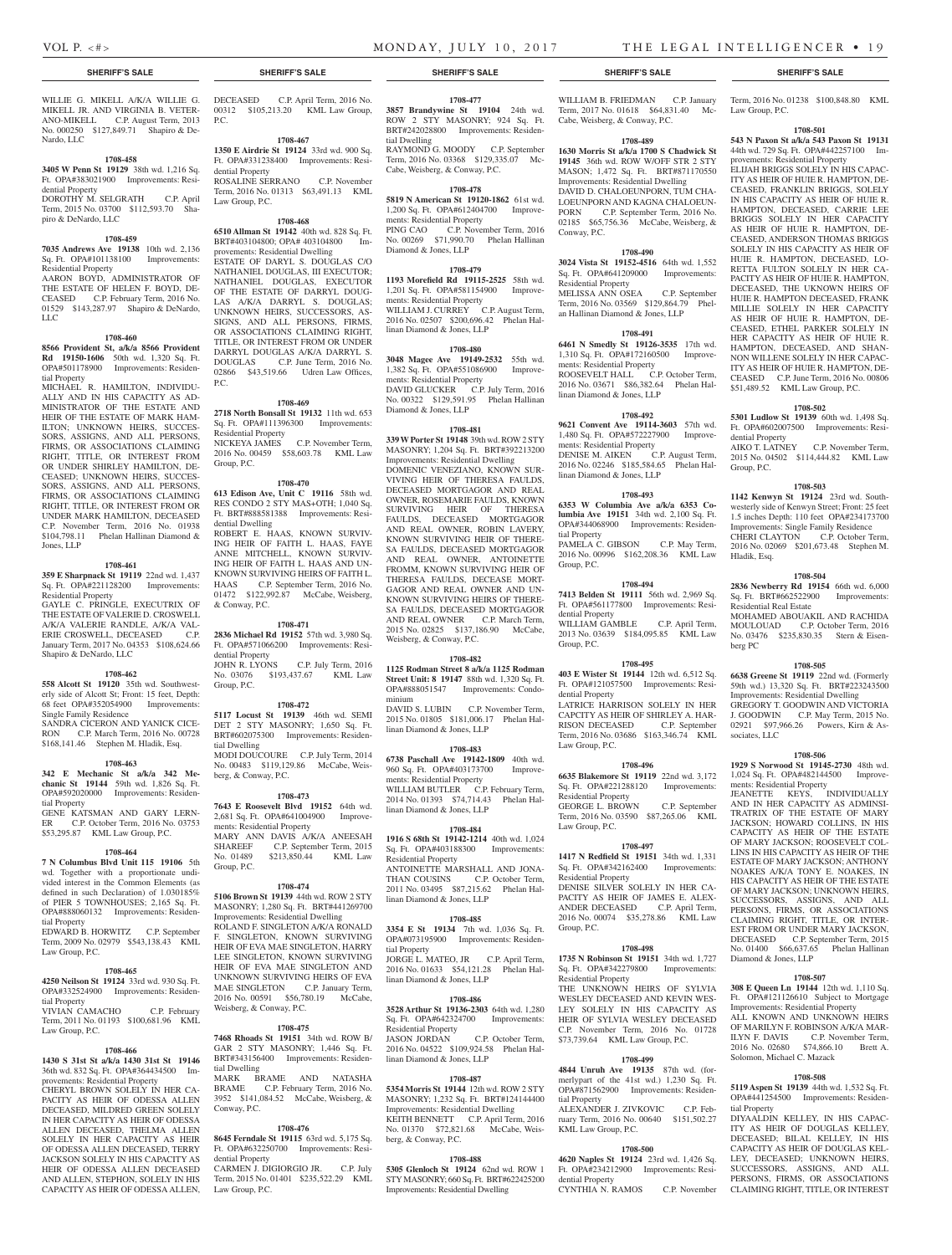Law Group, P.C.

Term, 2016 No. 01238 \$100,848.80 KML

**1708-501 543 N Paxon St a/k/a 543 Paxon St 19131**  44th wd. 729 Sq. Ft. OPA#442257100 Im-

**1708-502 5301 Ludlow St 19139** 60th wd. 1,498 Sq. Ft. OPA#602007500 Improvements: Resi-

AIKO T. LATNEY C.P. November Term, 2015 No. 04502 \$114,444.82 KML Law

**1708-503 1142 Kenwyn St 19124** 23rd wd. Southwesterly side of Kenwyn Street; Front: 25 feet 1.5 inches Depth: 110 feet OPA#234173700 Improvements: Single Family Residence CHERI CLAYTON C.P. October Term, 2016 No. 02069 \$201,673.48 Stephen M.

**1708-504 2836 Newberry Rd 19154** 66th wd. 6,000 Sq. Ft. BRT#662522900 Improvements:

MOHAMED ABOUAKIL AND RACHIDA MOULOUAD C.P. October Term, 2016 No. 03476 \$235,830.35 Stern & Eisen-

**1708-505 6638 Greene St 19119** 22nd wd. (Formerly 59th wd.) 13,320 Sq. Ft. BRT#223243500 Improvements: Residential Dwelling GREGORY T. GOODWIN AND VICTORIA J. GOODWIN C.P. May Term, 2015 No. 02921 \$97,966.26 Powers, Kirn & As-

**1708-506 1929 S Norwood St 19145-2730** 48th wd. 1,024 Sq. Ft. OPA#482144500 Improve-

JEANETTE KEYS, INDIVIDUALLY AND IN HER CAPACITY AS ADMINSI-TRATRIX OF THE ESTATE OF MARY JACKSON; HOWARD COLLINS, IN HIS CAPACITY AS HEIR OF THE ESTATE OF MARY JACKSON; ROOSEVELT COL-LINS IN HIS CAPACITY AS HEIR OF THE ESTATE OF MARY JACKSON; ANTHONY NOAKES A/K/A TONY E. NOAKES, IN HIS CAPACITY AS HEIR OF THE ESTATE OF MARY JACKSON; UNKNOWN HEIRS, SUCCESSORS, ASSIGNS, AND ALL PERSONS, FIRMS, OR ASSOCIATIONS CLAIMING RIGHT, TITLE, OR INTER-EST FROM OR UNDER MARY JACKSON, DECEASED C.P. September Term, 2015 No. 01400 \$66,637.65 Phelan Hallinan

dential Property

Group, P.C.

Hladik, Esq.

berg PC

sociates, LLC

ments: Residential Property

Diamond & Jones, LLP

Solomon, Michael C. Mazack

tial Property

**1708-507 308 E Queen Ln 19144** 12th wd. 1,110 Sq. Ft. OPA#121126610 Subject to Mortgage Improvements: Residential Property ALL KNOWN AND UNKNOWN HEIRS OF MARILYN F. ROBINSON A/K/A MAR-ILYN F. DAVIS C.P. November Term, 2016 No. 02680 \$74,866.10 Brett A.

**1708-508 5119 Aspen St 19139** 44th wd. 1,532 Sq. Ft. OPA#441254500 Improvements: Residen-

DIYAALDIN KELLEY, IN HIS CAPAC-ITY AS HEIR OF DOUGLAS KELLEY, DECEASED; BILAL KELLEY IN HIS CAPACITY AS HEIR OF DOUGLAS KEL-LEY, DECEASED; UNKNOWN HEIRS, SUCCESSORS, ASSIGNS, AND ALL PERSONS, FIRMS, OR ASSOCIATIONS CLAIMING RIGHT, TITLE, OR INTEREST

Residential Real Estate

provements: Residential Property ELIJAH BRIGGS SOLELY IN HIS CAPAC-ITY AS HEIR OF HUIE R. HAMPTON, DE-CEASED, FRANKLIN BRIGGS, SOLELY IN HIS CAPACITY AS HEIR OF HUIE R. HAMPTON, DECEASED, CARRIE LEE BRIGGS SOLELY IN HER CAPACITY AS HEIR OF HUIE R. HAMPTON, DE-CEASED, ANDERSON THOMAS BRIGGS SOLELY IN HIS CAPACITY AS HEIR OF HUIE R. HAMPTON, DECEASED, LO-RETTA FULTON SOLELY IN HER CA-PACITY AS HEIR OF HUIE R. HAMPTON, DECEASED, THE UKNOWN HEIRS OF HUIE R. HAMPTON DECEASED, FRANK MILLIE SOLELY IN HER CAPACITY AS HEIR OF HUIE R. HAMPTON, DE-CEASED, ETHEL PARKER SOLELY IN HER CAPACITY AS HEIR OF HUIE R. HAMPTON, DECEASED, AND SHAN-NON WILLENE SOLELY IN HER CAPAC-ITY AS HEIR OF HUIE R. HAMPTON, DE-CEASED C.P. June Term, 2016 No. 00806 \$51,489.52 KML Law Group, P.C.

WILLIE G. MIKELL A/K/A WILLIE G. MIKELL JR. AND VIRGINIA B. VETER-ANO-MIKELL C.P. August Term, 2013 No. 000250 \$127,849.71 Shapiro & De-Nardo, LLC

### **1708-458**

**3405 W Penn St 19129** 38th wd. 1,216 Sq. Ft. OPA#383021900 Improvements: Residential Property DOROTHY M. SELGRATH C.P. April Term, 2015 No. 03700 \$112,593.70 Sha-

### **1708-459**

piro & DeNardo, LLC

**7035 Andrews Ave 19138** 10th wd. 2,136 Sq. Ft. OPA#101138100 Improvements: Residential Property

AARON BOYD, ADMINISTRATOR OF THE ESTATE OF HELEN F. BOYD, DE-CEASED C.P. February Term, 2016 No. 01529 \$143,287.97 Shapiro & DeNardo, LLC

### **1708-460**

**8566 Provident St, a/k/a 8566 Provident Rd 19150-1606** 50th wd. 1,320 Sq. Ft. OPA#501178900 Improvements: Residential Property

MICHAEL R. HAMILTON, INDIVIDU-ALLY AND IN HIS CAPACITY AS AD-MINISTRATOR OF THE ESTATE AND HEIR OF THE ESTATE OF MARK HAM-ILTON; UNKNOWN HEIRS, SUCCES-SORS, ASSIGNS, AND ALL PERSONS, FIRMS, OR ASSOCIATIONS CLAIMING RIGHT, TITLE, OR INTEREST FROM OR UNDER SHIRLEY HAMILTON, DE-CEASED; UNKNOWN HEIRS, SUCCES-SORS, ASSIGNS, AND ALL PERSONS, FIRMS, OR ASSOCIATIONS CLAIMING RIGHT, TITLE, OR INTEREST FROM OR UNDER MARK HAMILTON, DECEASED C.P. November Term, 2016 No. 01938 \$104,798.11 Phelan Hallinan Diamond & Jones, LLP

### **1708-461**

### **359 E Sharpnack St 19119** 22nd wd. 1,437 Sq. Ft. OPA#221128200 Improvements: Residential Property GAYLE C. PRINGLE, EXECUTRIX OF THE ESTATE OF VALERIE D. CROSWELL

A/K/A VALERIE RANDLE, A/K/A VALERIE CROSWELL, DECEASED C.P. ERIE CROSWELL, DECEASED January Term, 2017 No. 04353 \$108,624.66 Shapiro & DeNardo, LLC

### **1708-462**

**558 Alcott St 19120** 35th wd. Southwesterly side of Alcott St; Front: 15 feet, Depth: 68 feet OPA#352054900 Improvements: Single Family Residence SANDRA CICERON AND YANICK CICE-

RON C.P. March Term, 2016 No. 00728 \$168,141.46 Stephen M. Hladik, Esq.

### **1708-463**

**342 E Mechanic St a/k/a 342 Mechanic St 19144** 59th wd. 1,826 Sq. Ft. OPA#592020000 Improvements: Residential Property GENE KATSMAN AND GARY LERN-<br>ER C.P. October Term. 2016 No. 03753 ER C.P. October Term, 2016 No. 03753 \$53,295.87 KML Law Group, P.C.

### **1708-464**

**7 N Columbus Blvd Unit 115 19106** 5th wd. Together with a proportionate undivided interest in the Common Elements (as defined in such Declaration) of 1.030185% of PIER 5 TOWNHOUSES; 2,165 Sq. Ft. OPA#888060132 Improvements: Residential Property

EDWARD B. HORWITZ C.P. September Term, 2009 No. 02979 \$543,138.43 KML Law Group, P.C.

### **1708-465**

**4250 Neilson St 19124** 33rd wd. 930 Sq. Ft. OPA#332524900 Improvements: Residential Property

VIVIAN CAMACHO C.P. February Term, 2011 No. 01193 \$100,681.96 KML Law Group, P.C.

### **1708-466**

**1430 S 31st St a/k/a 1430 31st St 19146**  36th wd. 832 Sq. Ft. OPA#364434500 Improvements: Residential Property

CHERYL BROWN SOLELY IN HER CA-PACITY AS HEIR OF ODESSA ALLEN DECEASED, MILDRED GREEN SOLELY IN HER CAPACITY AS HEIR OF ODESSA ALLEN DECEASED, THELMA ALLEN SOLELY IN HER CAPACITY AS HEIR OF ODESSA ALLEN DECEASED, TERRY JACKSON SOLELY IN HIS CAPACITY AS HEIR OF ODESSA ALLEN DECEASED AND ALLEN, STEPHON, SOLELY IN HIS CAPACITY AS HEIR OF ODESSA ALLEN,

DECEASED C.P. April Term, 2016 No. 00312 \$105,213.20 KML Law Group, P.C.

**1708-467**

**1350 E Airdrie St 19124** 33rd wd. 900 Sq. Ft. OPA#331238400 Improvements: Residential Property ROSALINE SERRANO C.P. November Term, 2016 No. 01313 \$63,491.13 KML Law Group, P.C.

**1708-468**

**6510 Allman St 19142** 40th wd. 828 Sq. Ft. BRT#403104800; OPA# 403104800 Improvements: Residential Dwelling ESTATE OF DARYL S. DOUGLAS C/O NATHANIEL DOUGLAS, III EXECUTOR; NATHANIEL DOUGLAS, EXECUTOR OF THE ESTATE OF DARRYL DOUG-LAS A/K/A DARRYL S. DOUGLAS; UNKNOWN HEIRS, SUCCESSORS, AS-SIGNS, AND ALL PERSONS, FIRMS, OR ASSOCIATIONS CLAIMING RIGHT, TITLE, OR INTEREST FROM OR UNDER DARRYL DOUGLAS A/K/A DARRYL S. DOUGLAS C.P. June Term, 2016 No. 02866 \$43,519.66 Udren Law Offices, P.C.

### **1708-469**

**2718 North Bonsall St 19132** 11th wd. 653 Sq. Ft. OPA#111396300 Improvements: Residential Property NICKEYA JAMES C.P. November Term, 2016 No. 00459 \$58,603.78 KML Law Group, P.C.

### **1708-470**

**613 Edison Ave, Unit C 19116** 58th wd. RES CONDO 2 STY MAS+OTH; 1,040 Sq. Ft. BRT#888581388 Improvements: Residential Dwelling ROBERT E. HAAS, KNOWN SURVIV-ING HEIR OF FAITH L. HAAS, FAYE ANNE MITCHELL, KNOWN SURVIV-ING HEIR OF FAITH L. HAAS AND UN-KNOWN SURVIVING HEIRS OF FAITH L. HAAS C.P. September Term, 2016 No. 01472 \$122,992.87 McCabe, Weisberg, & Conway, P.C.

### **1708-471**

**2836 Michael Rd 19152** 57th wd. 3,980 Sq. Ft. OPA#571066200 Improvements: Residential Property JOHN R. LYONS C.P. July Term, 2016 No. 03076 \$193,437.67 KML Law Group, P.C.

### **1708-472**

**5117 Locust St 19139** 46th wd. SEMI DET 2 STY MASONRY; 1,650 Sq. Ft. BRT#602075300 Improvements: Residential Dwelling MODI DOUCOURE C.P. July Term, 2014 No. 00483 \$119,129.86 McCabe, Weis-

berg, & Conway, P.C.

**1708-473**

**7643 E Roosevelt Blvd 19152** 64th wd. 2,681 Sq. Ft. OPA#641004900 Improvements: Residential Property MARY ANN DAVIS A/K/A ANEESAH<br>SHAREEF C.P. September Term, 2015 C.P. September Term, 2015 No. 01489 \$213,850.44 KML Law Group, P.C.

### **1708-474**

**5106 Brown St 19139** 44th wd. ROW 2 STY MASONRY; 1,280 Sq. Ft. BRT#441269700 Improvements: Residential Dwelling ROLAND F. SINGLETON A/K/A RONALD F. SINGLETON, KNOWN SURVIVING HEIR OF EVA MAE SINGLETON, HARRY LEE SINGLETON, KNOWN SURVIVING HEIR OF EVA MAE SINGLETON AND UNKNOWN SURVIVING HEIRS OF EVA MAE SINGLETON C.P. January Term, 2016 No. 00591 \$56,780.19 McCabe, Weisberg, & Conway, P.C.

# **1708-475**

**7468 Rhoads St 19151** 34th wd. ROW B/ GAR 2 STY MASONRY; 1,446 Sq. Ft. BRT#343156400 Improvements: Residential Dwelling MARK BRAME AND NATASHA

BRAME C.P. February Term, 2016 No. 3952 \$141,084.52 McCabe, Weisberg, & Conway, P.C.

### **1708-476**

**8645 Ferndale St 19115** 63rd wd. 5,175 Sq. Ft. OPA#632250700 Improvements: Residential Property

CARMEN J. DIGIORGIO JR. C.P. July Term, 2015 No. 01401 \$235,522.29 KML Law Group, P.C.

### **SHERIFF'S SALE SHERIFF'S SALE SHERIFF'S SALE SHERIFF'S SALE SHERIFF'S SALE**

### **1708-477**

**3857 Brandywine St 19104** 24th wd. ROW 2 STY MASONRY; 924 Sq. Ft. BRT#242028800 Improvements: Residential Dwelling RAYMOND G. MOODY C.P. September Term, 2016 No. 03368 \$129,335.07 Mc-

Cabe, Weisberg, & Conway, P.C. **1708-478 5819 N American St 19120-1862** 61st wd.

1,200 Sq. Ft. OPA#612404700 Improvements: Residential Property PING CAO C.P. November Term, 2016 No. 00269 \$71,990.70 Phelan Hallinan Diamond & Jones, LLP

### **1708-479**

**1193 Morefield Rd 19115-2525** 58th wd. 1,201 Sq. Ft. OPA#581154900 Improvements: Residential Property WILLIAM J. CURREY C.P. August Term, 2016 No. 02507 \$200,696.42 Phelan Hallinan Diamond & Jones, LLP

### **1708-480**

**3048 Magee Ave 19149-2532** 55th wd. 1,382 Sq. Ft. OPA#551086900 Improvements: Residential Property DAVID GLUCKER C.P. July Term, 2016 No. 00322 \$129,591.95 Phelan Hallinan Diamond & Jones, LLP

# **1708-481**

**339 W Porter St 19148** 39th wd. ROW 2 STY MASONRY; 1,204 Sq. Ft. BRT#392213200 Improvements: Residential Dwelling

DOMENIC VENEZIANO, KNOWN SUR-VIVING HEIR OF THERESA FAULDS, DECEASED MORTGAGOR AND REAL OWNER, ROSEMARIE FAULDS, KNOWN SURVIVING HEIR OF THERESA FAULDS, DECEASED MORTGAGOR AND REAL OWNER, ROBIN LAVERY, KNOWN SURVIVING HEIR OF THERE-SA FAULDS, DECEASED MORTGAGOR AND REAL OWNER, ANTOINETTE FROMM, KNOWN SURVIVING HEIR OF THERESA FAULDS, DECEASE MORT-GAGOR AND REAL OWNER AND UN-KNOWN SURVIVING HEIRS OF THERE-SA FAULDS, DECEASED MORTGAGOR AND REAL OWNER C.P. March Term, 2015 No. 02825 \$137,186.90 McCabe, Weisberg, & Conway, P.C.

### **1708-482**

**1125 Rodman Street 8 a/k/a 1125 Rodman Street Unit: 8 19147** 88th wd. 1,320 Sq. Ft.<br>OPA#888051547 Improvements: Condo-Improvements: Condominium

DAVID S. LUBIN C.P. November Term, 2015 No. 01805 \$181,006.17 Phelan Hallinan Diamond & Jones, LLP

### **1708-483**

**6738 Paschall Ave 19142-1809** 40th wd. 960 Sq. Ft. OPA#403173700 Improvements: Residential Property WILLIAM BUTLER C.P. February Term, 2014 No. 01393 \$74,714.43 Phelan Hallinan Diamond & Jones, LLP

### **1708-484**

**1916 S 68th St 19142-1214** 40th wd. 1,024 Sq. Ft. OPA#403188300 Improvements: Residential Property ANTOINETTE MARSHALL AND JONA-THAN COUSINS C.P. October Term, 2011 No. 03495 \$87,215.62 Phelan Hallinan Diamond & Jones, LLP

### **1708-485**

**3354 E St 19134** 7th wd. 1,036 Sq. Ft. OPA#073195900 Improvements: Residential Property JORGE L. MATEO, JR C.P. April Term, 2016 No. 01633 \$54,121.28 Phelan Hallinan Diamond & Jones, LLP

### **1708-486**

**3528 Arthur St 19136-2303** 64th wd. 1,280 Sq. Ft. OPA#642324700 Improvements: Residential Property<br>JASON JORDAN C.P. October Term, 2016 No. 04522 \$109,924.58 Phelan Hallinan Diamond & Jones, LLP

### **1708-487**

**5354 Morris St 19144** 12th wd. ROW 2 STY MASONRY; 1,232 Sq. Ft. BRT#124144400 Improvements: Residential Dwelling KEITH BENNETT C.P. April Term, 2016 No. 01370 \$72,821.68 McCabe, Weisberg, & Conway, P.C.

### **1708-488**

**5305 Glenloch St 19124** 62nd wd. ROW 1 STY MASONRY; 660 Sq. Ft. BRT#622425200 Improvements: Residential Dwelling

WILLIAM B. FRIEDMAN C.P. January Term, 2017 No. 01618 \$64,831.40 Mc-Cabe, Weisberg, & Conway, P.C.

### **1708-489**

**1630 Morris St a/k/a 1700 S Chadwick St 19145** 36th wd. ROW W/OFF STR 2 STY MASON; 1,472 Sq. Ft. BRT#871170550 Improvements: Residential Dwelling DAVID D. CHALOEUNPORN, TUM CHA-LOEUNPORN AND KAGNA CHALOEUN-PORN C.P. September Term, 2016 No. 02185 \$65,756.36 McCabe, Weisberg, & Conway, P.C.

### **1708-490**

**3024 Vista St 19152-4516** 64th wd. 1,552 Sq. Ft. OPA#641209000 Improvements: Residential Property MELISSA ANN OSEA C.P. September Term, 2016 No. 03569 \$129,864.79 Phelan Hallinan Diamond & Jones, LLP

### **1708-491**

**6461 N Smedly St 19126-3535** 17th wd. 1,310 Sq. Ft. OPA#172160500 Improvements: Residential Property ROOSEVELT HALL C.P. October Term, 2016 No. 03671 \$86,382.64 Phelan Hallinan Diamond & Jones, LLP

### **1708-492 9621 Convent Ave 19114-3603** 57th wd.

1,480 Sq. Ft. OPA#572227900 Improvements: Residential Property<br>DENISE M. AIKEN C.P. August Term, DENISE M. AIKEN C.P. August Term, 2016 No. 02246 \$185,584.65 Phelan Hallinan Diamond & Jones, LLP

### **1708-493**

**6353 W Columbia Ave a/k/a 6353 Columbia Ave 19151** 34th wd. 2,100 Sq. Ft. OPA#344068900 Improvements: Residential Property PAMELA C. GIBSON C.P. May Term, 2016 No. 00996 \$162,208.36 KML Law Group, P.C.

### **1708-494**

**7413 Belden St 19111** 56th wd. 2,969 Sq. Ft. OPA#561177800 Improvements: Residential Property WILLIAM GAMBLE C.P. April Term, 2013 No. 03639 \$184,095.85 KML Law Group, P.C.

### **1708-495**

**403 E Wister St 19144** 12th wd. 6,512 Sq. Ft. OPA#121057500 Improvements: Residential Property LATRICE HARRISON SOLELY IN HER CAPCITY AS HEIR OF SHIRLEY A. HAR-RISON DECEASED C.P. September Term, 2016 No. 03686 \$163,346.74 KML Law Group, P.C.

### **1708-496**

**6635 Blakemore St 19119** 22nd wd. 3,172 Sq. Ft. OPA#221288120 Improvements: Residential Property GEORGE L. BROWN C.P. September Term, 2016 No. 03590 \$87,265.06 KML

# Law Group, P.C. **1708-497**

**1417 N Redfield St 19151** 34th wd. 1,331 Sq. Ft. OPA#342162400 Improvements: Residential Property DENISE SILVER SOLELY IN HER CA-PACITY AS HEIR OF JAMES E. ALEX-<br>ANDER DECEASED C.P. April Term. ANDER DECEASED 2016 No. 00074 \$35,278.86 KML Law Group, P.C.

**1708-498 1735 N Robinson St 19151** 34th wd. 1,727 Sq. Ft. OPA#342279800 Improvements:

THE UNKNOWN HEIRS OF SYLVIA WESLEY DECEASED AND KEVIN WES-LEY SOLELY IN HIS CAPACITY AS HEIR OF SYLVIA WESLEY DECEASED C.P. November Term, 2016 No. 01728 \$73,739.64 KML Law Group, P.C.

**1708-499 4844 Unruh Ave 19135** 87th wd. (formerlypart of the 41st wd.) 1,230 Sq. Ft. OPA#871562900 Improvements: Residen-

ALEXANDER J. ZIVKOVIC C.P. February Term, 2016 No. 00640 \$151,502.27

**1708-500 4620 Naples St 19124** 23rd wd. 1,426 Sq. Ft. OPA#234212900 Improvements: Resi-

CYNTHIA N. RAMOS C.P. November

Residential Property

tial Property

dential Property

KML Law Group, P.C.